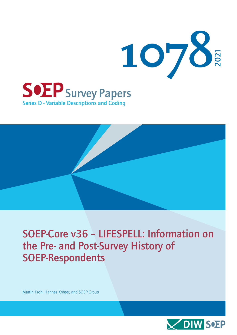

Series D - Variable Descriptions and Coding



## SOEP-Core v36 – LIFESPELL: Information on the Pre- and Post-Survey History of SOEP-Respondents

Martin Kroh, Hannes Kröger, and SOEP Group

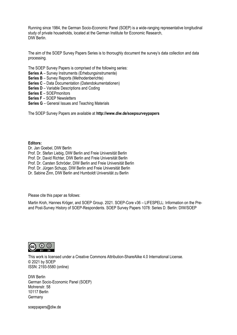Running since 1984, the German Socio-Economic Panel (SOEP) is a wide-ranging representative longitudinal study of private households, located at the German Institute for Economic Research, DIW Berlin.

The aim of the SOEP Survey Papers Series is to thoroughly document the survey's data collection and data processing.

The SOEP Survey Papers is comprised of the following series:

- **Series A** Survey Instruments (Erhebungsinstrumente)
- **Series B** Survey Reports (Methodenberichte)
- **Series C** Data Documentation (Datendokumentationen)
- **Series D** Variable Descriptions and Coding
- **Series E** SOEPmonitors
- **Series F** SOEP Newsletters
- **Series G** General Issues and Teaching Materials

The SOEP Survey Papers are available at **http://www.diw.de/soepsurveypapers**

#### **Editors:**

Dr. Jan Goebel, DIW Berlin Prof. Dr. Stefan Liebig, DIW Berlin and Freie Universität Berlin Prof. Dr. David Richter, DIW Berlin and Freie Universität Berlin Prof. Dr. Carsten Schröder, DIW Berlin and Freie Universität Berlin Prof. Dr. Jürgen Schupp, DIW Berlin and Freie Universität Berlin Dr. Sabine Zinn, DIW Berlin and Humboldt Universität zu Berlin

Please cite this paper as follows:

Martin Kroh, Hannes Kröger, and SOEP Group. 2021. SOEP-Core v36 – LIFESPELL: Information on the Preand Post-Survey History of SOEP-Respondents. SOEP Survey Papers 1078: Series D. Berlin: DIW/SOEP



This work is licensed under [a Creative Commons Attribution-ShareAlike 4.0 International License.](http://creativecommons.org/licenses/by-sa/4.0/) © 2021 by SOEP ISSN: 2193-5580 (online)

DIW Berlin German Socio-Economic Panel (SOEP) Mohrenstr. 58 10117 Berlin **Germany** 

[soeppapers@diw.de](mailto:soeppapers@diw.de)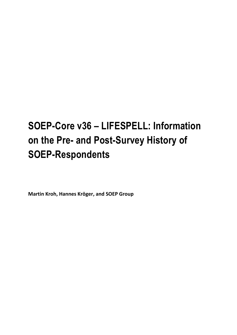# **SOEP-Core v36 – LIFESPELL: Information on the Pre- and Post-Survey History of SOEP-Respondents**

**Martin Kroh, Hannes Kröger, and SOEP Group**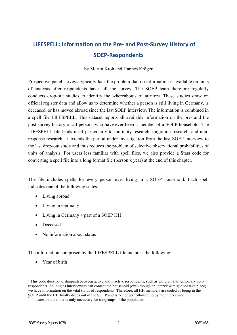### **LIFESPELL: Information on the Pre- and Post-Survey History of SOEP-Respondents**

#### by Martin Kroh and Hannes Kröger

Prospective panel surveys typically face the problem that no information is available on units of analysis after respondents have left the survey. The SOEP team therefore regularly conducts drop-out studies to identify the whereabouts of attritors. These studies draw on official register data and allow us to determine whether a person is still living in Germany, is deceased, or has moved abroad since the last SOEP interview. The information is combined in a spell file LIFESPELL. This dataset reports all available information on the pre- and the post-survey history of all persons who have ever been a member of a SOEP household. The LIFESPELL file lends itself particularly to mortality research, migration research, and nonresponse research. It extends the period under investigation from the last SOEP interview to the last drop-out study and thus reduces the problem of selective observational probabilities of units of analysis. For users less familiar with spell files, we also provide a Stata code for converting a spell file into a long format file (person x year) at the end of this chapter.

The file includes spells for every person ever living in a SOEP household. Each spell indicates one of the following states:

- Living abroad
- Living in Germany
- Living in Germany + part of a SOEP  $HH<sup>1</sup>$  $HH<sup>1</sup>$  $HH<sup>1</sup>$
- Deceased
- No information about status

The information comprised by the LIFESPELL file includes the following:

• Year of birth

<sup>&</sup>lt;sup>1</sup> This code does not distinguish between active and inactive respondents, such as children and temporary nonrespondents. As long as interviewers can contact the household (even though an interview might not take place), we have information on the vital status of respondents. Therefore, all HH members are coded as being in the SOEP until the HH finally drops out of the SOEP and is no longer followed up by the interviewer.

**<sup>\*</sup>** indicates that the fact is only necessary for subgroups of the population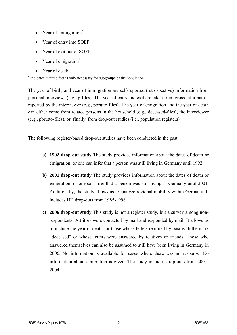- Year of immigration<sup>[\\*](#page-11-1)</sup>
- Year of entry into SOEP
- Year of exit out of SOEP
- Year of emigration<sup>\*</sup>
- Year of death

**\*** indicates that the fact is only necessary for subgroups of the population

The year of birth, and year of immigration are self-reported (retrospective) information from personal interviews (e.g., p-files). The year of entry and exit are taken from gross information reported by the interviewer (e.g., pbrutto-files). The year of emigration and the year of death can either come from related persons in the household (e.g., deceased-files), the interviewer (e.g., pbrutto-files), or, finally, from drop-out studies (i.e., population registers).

The following register-based drop-out studies have been conducted in the past:

- **a) 1992 drop-out study** The study provides information about the dates of death or emigration, or one can infer that a person was still living in Germany until 1992.
- **b) 2001 drop-out study** The study provides information about the dates of death or emigration, or one can infer that a person was still living in Germany until 2001. Additionally, the study allows us to analyze regional mobility within Germany. It includes HH drop-outs from 1985-1998.
- **c) 2006 drop-out study** This study is not a register study, but a survey among nonrespondents. Attritors were contacted by mail and responded by mail. It allows us to include the year of death for those whose letters returned by post with the mark "deceased" or whose letters were answered by relatives or friends. Those who answered themselves can also be assumed to still have been living in Germany in 2006. No information is available for cases where there was no response. No information about emigration is given. The study includes drop-outs from 2001- 2004.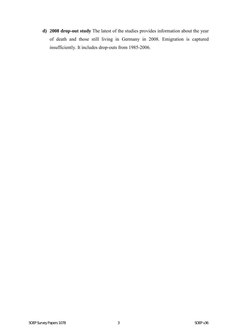**d) 2008 drop-out study** The latest of the studies provides information about the year of death and those still living in Germany in 2008. Emigration is captured insufficiently. It includes drop-outs from 1985-2006.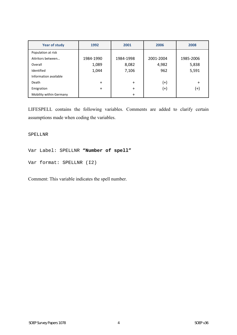| <b>Year of study</b>    | 1992      | 2001      | 2006      | 2008      |
|-------------------------|-----------|-----------|-----------|-----------|
| Population at risk      |           |           |           |           |
| Attritors between       | 1984-1990 | 1984-1998 | 2001-2004 | 1985-2006 |
| Overall                 | 1,089     | 8,082     | 4,982     | 5,838     |
| Identified              | 1,044     | 7,106     | 962       | 5,591     |
| Information available   |           |           |           |           |
| Death                   | $\ddot{}$ | $+$       | $^{(+)}$  | $\ddot{}$ |
| Emigration              | $+$       | $\ddot{}$ | $^{(+)}$  | $^{(+)}$  |
| Mobility within Germany |           | $\ddot{}$ |           |           |

LIFESPELL contains the following variables. Comments are added to clarify certain assumptions made when coding the variables.

SPELLNR

```
Var Label: SPELLNR "Number of spell"
```

```
Var format: SPELLNR (I2)
```
Comment: This variable indicates the spell number.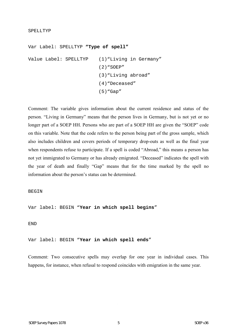#### SPELLTYP

Var Label: SPELLTYP **"Type of spell"**  Value Label: SPELLTYP (1)"Living in Germany" (2)"SOEP" (3)"Living abroad" (4)"Deceased" (5)"Gap"

Comment: The variable gives information about the current residence and status of the person. "Living in Germany" means that the person lives in Germany, but is not yet or no longer part of a SOEP HH. Persons who are part of a SOEP HH are given the "SOEP" code on this variable. Note that the code refers to the person being part of the gross sample, which also includes children and covers periods of temporary drop-outs as well as the final year when respondents refuse to participate. If a spell is coded "Abroad," this means a person has not yet immigrated to Germany or has already emigrated. "Deceased" indicates the spell with the year of death and finally "Gap" means that for the time marked by the spell no information about the person's status can be determined.

#### **BEGIN**

Var label: BEGIN "**Year in which spell begins**"

#### END

Var label: BEGIN "**Year in which spell ends**"

Comment: Two consecutive spells may overlap for one year in individual cases. This happens, for instance, when refusal to respond coincides with emigration in the same year.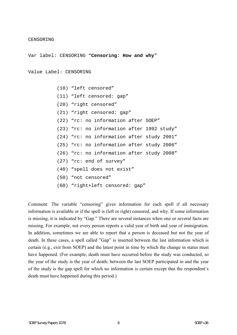#### CENSORING

Var label: CENSORING "**Censoring: How and why**"

```
Value Label: CENSORING
```

```
 (10) "left censored" 
 (11) "left censored: gap" 
 (20) "right censored" 
 (21) "right censored: gap" 
 (22) "rc: no information after SOEP" 
 (23) "rc: no information after 1992 study" 
 (24) "rc: no information after study 2001" 
 (25) "rc: no information after study 2006" 
 (26) "rc: no information after study 2008" 
 (27) "rc: end of survey" 
 (40) "spell does not exist" 
 (50) "not censored" 
 (60) "right+left censored: gap"
```
Comment: The variable "censoring" gives information for each spell if all necessary information is available or if the spell is (left or right) censored, and why. If some information is missing, it is indicated by "Gap." There are several instances when one or several facts are missing. For example, not every person reports a valid year of birth and year of immigration. In addition, sometimes we are able to report that a person is deceased but not the year of death. In these cases, a spell called "Gap" is inserted between the last information which is certain (e.g., exit from SOEP) and the latest point in time by which the change in status must have happened. (For example, death must have occurred before the study was conducted, so the year of the study is the year of death; between the last SOEP participated in and the year of the study is the gap spell for which no information is certain except that the respondent's death must have happened during this period.)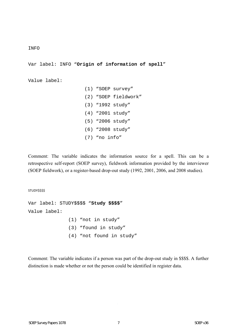#### INFO

Var label: INFO "**Origin of information of spell**"

Value label:

 (1) "SOEP survey" (2) "SOEP fieldwork" (3) "1992 study" (4) "2001 study" (5) "2006 study" (6) "2008 study" (7) "no info"

Comment: The variable indicates the information source for a spell. This can be a retrospective self-report (SOEP survey), fieldwork information provided by the interviewer (SOEP fieldwork), or a register-based drop-out study (1992, 2001, 2006, and 2008 studies).

STUDY\$\$\$\$ Var label: STUDY\$\$\$\$ "**Study \$\$\$\$**" Value label: (1) "not in study" (3) "found in study" (4) "not found in study"

Comment: The variable indicates if a person was part of the drop-out study in \$\$\$\$. A further distinction is made whether or not the person could be identified in register data.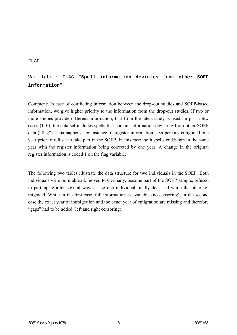#### FLAG

### Var label: FLAG "**Spell information deviates from other SOEP information**"

Comment: In case of conflicting information between the drop-out studies and SOEP-based information, we give higher priority to the information from the drop-out studies. If two or more studies provide different information, that from the latest study is used. In just a few cases (110), the data set includes spells that contain information deviating from other SOEP data ("flag"). This happens, for instance, if register information says persons emigrated one year prior to refusal to take part in the SOEP. In this case, both spells end/begin in the same year with the register information being corrected by one year. A change in the original register information is coded 1 on the flag variable.

The following two tables illustrate the data structure for two individuals in the SOEP. Both individuals were born abroad, moved to Germany, became part of the SOEP sample, refused to participate after several waves. The one individual finally deceased while the other remigrated. While in the first case, full information is available (no censoring), in the second case the exact year of immigration and the exact year of emigration are missing and therefore "gaps" had to be added (left and right censoring).